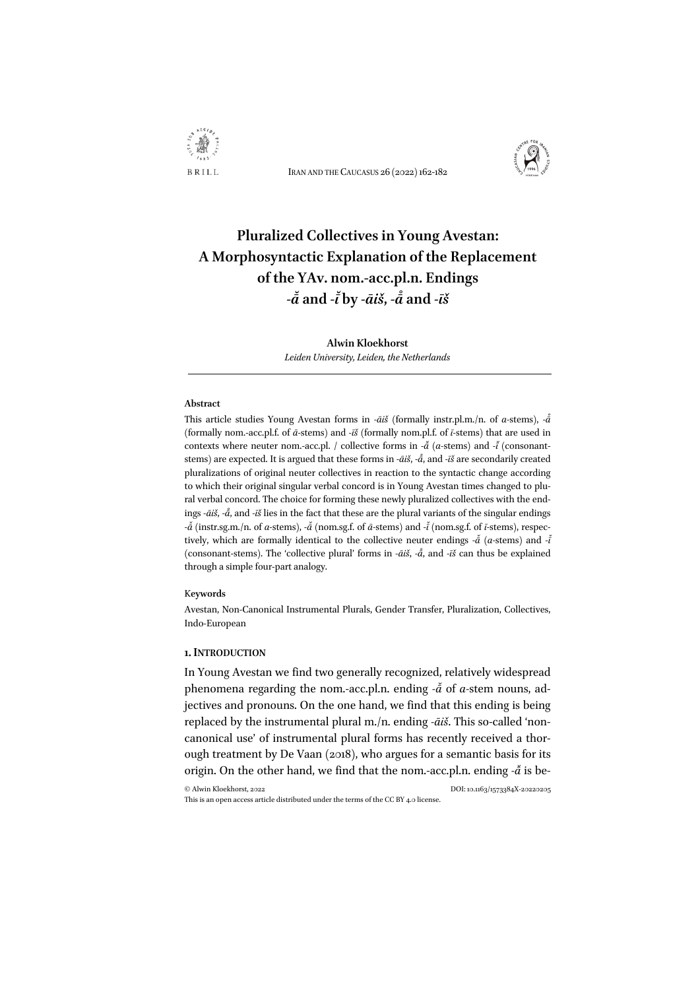

IRAN AND THE CAUCASUS 26 (2022)162-182



# **Pluralized Collectives in Young Avestan: A Morphosyntactic Explanation of the Replacement of the YAv. nom.-acc.pl.n. Endings** *-ā ̆***and** *-ī* **by** *-āiš***,** *-ā ̊***and** *-īš*

**Alwin Kloekhorst**  *Leiden University, Leiden, the Netherlands*

#### **Abstract**

This article studies Young Avestan forms in *-āiš* (formally instr.pl.m./n. of *a-*stems), *-ā ̊* (formally nom.-acc.pl.f. of *ā-*stems) and *-īš* (formally nom.pl.f. of *ī-*stems) that are used in contexts where neuter nom.-acc.pl. / collective forms in  $-\tilde{a}$  (*a*-stems) and  $-\tilde{t}$  (consonantstems) are expected. It is argued that these forms in *-āiš*, *-ā* , and *-īš* are secondarily created *̊* pluralizations of original neuter collectives in reaction to the syntactic change according to which their original singular verbal concord is in Young Avestan times changed to plural verbal concord. The choice for forming these newly pluralized collectives with the endings *-āiš*, *-ā* , and *-īš* lies in the fact that these are the plural variants of the singular endings *̊ -ā ̆*(instr.sg.m./n. of *a-*stems), *-ā ̆*(nom.sg.f. of *ā-*stems) and *-ī ̆*(nom.sg.f. of *ī-*stems), respectively, which are formally identical to the collective neuter endings  $-\tilde{a}$  (*a*-stems) and  $-\tilde{t}$ *̆* (consonant-stems). The 'collective plural' forms in *-āiš*, *-ā* , and *-īš* can thus be explained *̊* through a simple four-part analogy.

#### K**eywords**

Avestan, Non-Canonical Instrumental Plurals, Gender Transfer, Pluralization, Collectives, Indo-European

#### **1.INTRODUCTION**

In Young Avestan we find two generally recognized, relatively widespread phenomena regarding the nom.-acc.pl.n. ending - $\check{a}$  of *a*-stem nouns, adjectives and pronouns. On the one hand, we find that this ending is being replaced by the instrumental plural m./n. ending *-āiš*. This so-called 'noncanonical use' of instrumental plural forms has recently received a thorough treatment by De Vaan (2018), who argues for a semantic basis for its origin. On the other hand, we find that the nom.-acc.pl.n. ending - $\check{a}$  is be-

© Alwin Kloekhorst, 2022 DOI: 10.1163/1573384X-20220205 This is an open access article distributed under the terms of the CC BY 4.0 license.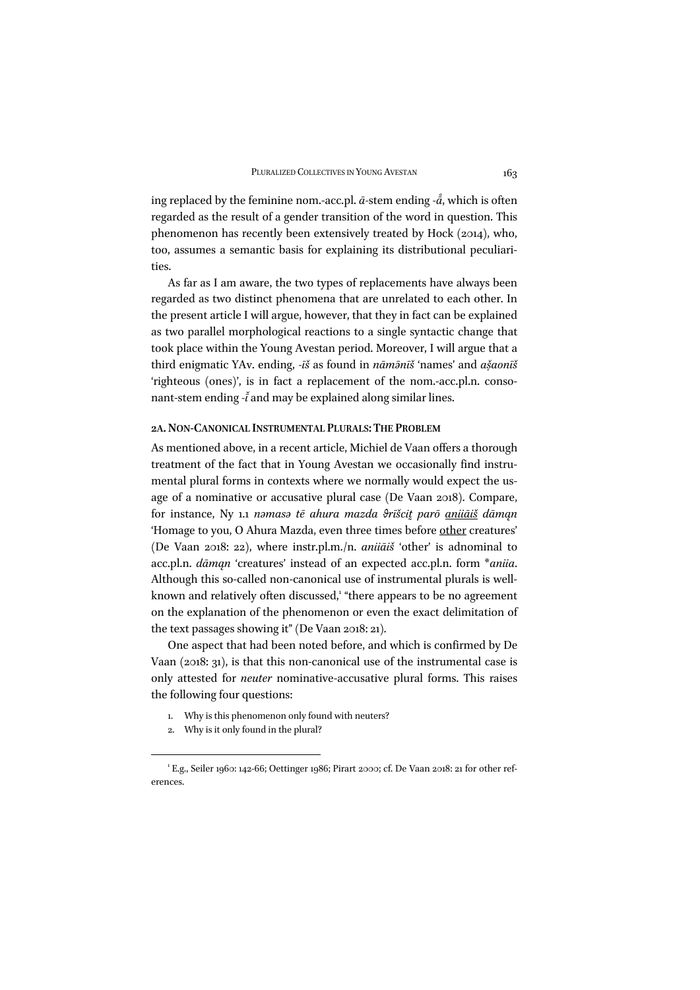ing replaced by the feminine nom.-acc.pl. *ā-*stem ending *-ā* , which is often *̊* regarded as the result of a gender transition of the word in question. This phenomenon has recently been extensively treated by Hock (2014), who, too, assumes a semantic basis for explaining its distributional peculiarities.

As far as I am aware, the two types of replacements have always been regarded as two distinct phenomena that are unrelated to each other. In the present article I will argue, however, that they in fact can be explained as two parallel morphological reactions to a single syntactic change that took place within the Young Avestan period. Moreover, I will argue that a third enigmatic YAv. ending, *-īš* as found in *nāmə̄nīš* 'names' and *asaon ̣̌ īš* 'righteous (ones)', is in fact a replacement of the nom.-acc.pl.n. consonant-stem ending *-ī* and may be explained along similar lines.

#### **2A.NON-CANONICAL INSTRUMENTAL PLURALS: THE PROBLEM**

As mentioned above, in a recent article, Michiel de Vaan offers a thorough treatment of the fact that in Young Avestan we occasionally find instrumental plural forms in contexts where we normally would expect the usage of a nominative or accusative plural case (De Vaan 2018). Compare, for instance, Ny 1.1 namasa tē ahura mazda drīšcit parō anijāiš dāman 'Homage to you, O Ahura Mazda, even three times before other creatures' (De Vaan 2018: 22), where instr.pl.m./n. *aniiāiš* 'other' is adnominal to acc.pl.n. *dāmąn* 'creatures' instead of an expected acc.pl.n. form \**aniia*. Although this so-called non-canonical use of instrumental plurals is wellknown and relatively often discussed,<sup>1</sup> "there appears to be no agreement on the explanation of the phenomenon or even the exact delimitation of the text passages showing it" (De Vaan 2018: 21).

One aspect that had been noted before, and which is confirmed by De Vaan (2018: 31), is that this non-canonical use of the instrumental case is only attested for *neuter* nominative-accusative plural forms. This raises the following four questions:

- 1. Why is this phenomenon only found with neuters?
- 2. Why is it only found in the plural?

<sup>&</sup>lt;sup>1</sup> E.g., Seiler 1960: 142-66; Oettinger 1986; Pirart 2000; cf. De Vaan 2018: 21 for other references.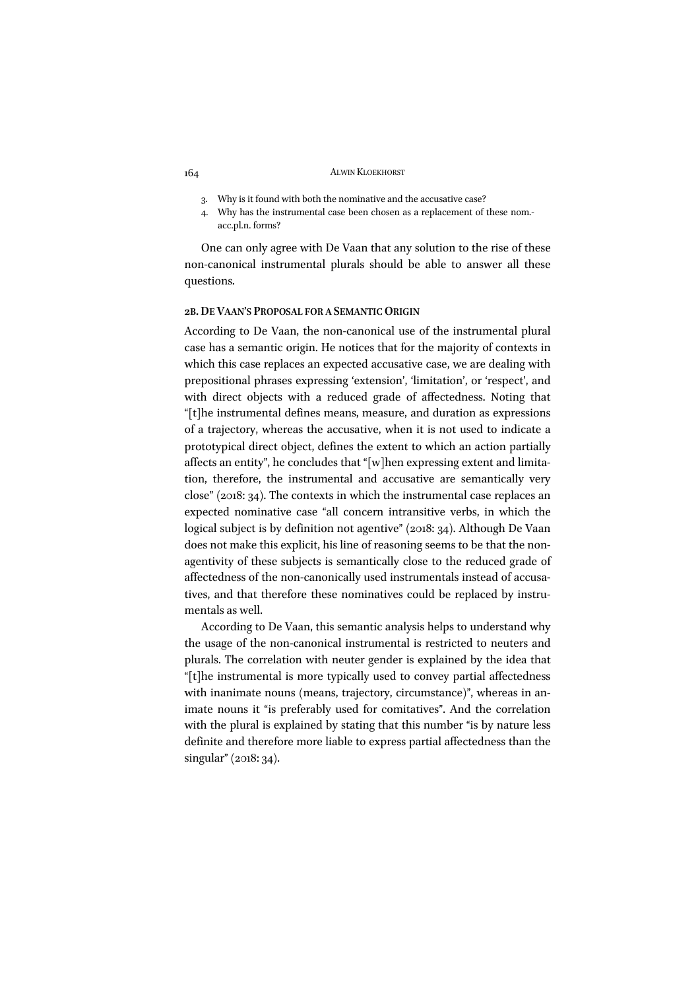- 3. Why is it found with both the nominative and the accusative case?
- 4. Why has the instrumental case been chosen as a replacement of these nom. acc.pl.n. forms?

One can only agree with De Vaan that any solution to the rise of these non-canonical instrumental plurals should be able to answer all these questions.

#### **2B.DE VAAN'S PROPOSAL FOR A SEMANTIC ORIGIN**

According to De Vaan, the non-canonical use of the instrumental plural case has a semantic origin. He notices that for the majority of contexts in which this case replaces an expected accusative case, we are dealing with prepositional phrases expressing 'extension', 'limitation', or 'respect', and with direct objects with a reduced grade of affectedness. Noting that "[t]he instrumental defines means, measure, and duration as expressions of a trajectory, whereas the accusative, when it is not used to indicate a prototypical direct object, defines the extent to which an action partially affects an entity", he concludes that "[w]hen expressing extent and limitation, therefore, the instrumental and accusative are semantically very close" (2018: 34). The contexts in which the instrumental case replaces an expected nominative case "all concern intransitive verbs, in which the logical subject is by definition not agentive" (2018: 34). Although De Vaan does not make this explicit, his line of reasoning seems to be that the nonagentivity of these subjects is semantically close to the reduced grade of affectedness of the non-canonically used instrumentals instead of accusatives, and that therefore these nominatives could be replaced by instrumentals as well.

According to De Vaan, this semantic analysis helps to understand why the usage of the non-canonical instrumental is restricted to neuters and plurals. The correlation with neuter gender is explained by the idea that "[t]he instrumental is more typically used to convey partial affectedness with inanimate nouns (means, trajectory, circumstance)", whereas in animate nouns it "is preferably used for comitatives". And the correlation with the plural is explained by stating that this number "is by nature less definite and therefore more liable to express partial affectedness than the singular" (2018: 34).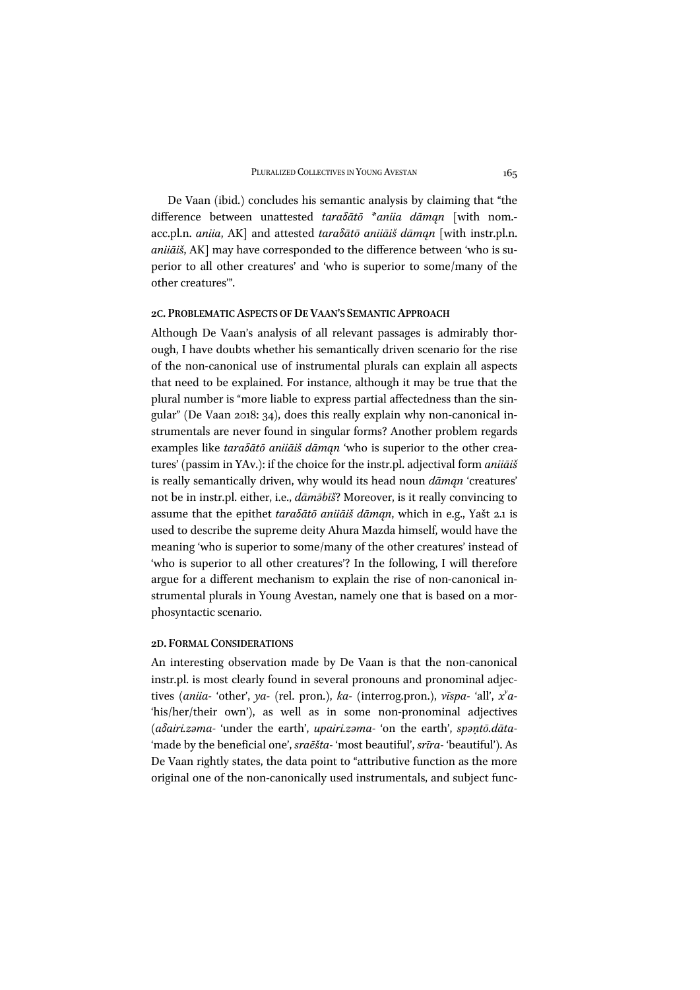De Vaan (ibid.) concludes his semantic analysis by claiming that "the difference between unattested *taraδātō* \**aniia dāmąn* [with nom. acc.pl.n. *aniia*, AK] and attested *taraδātō aniiāiš dāmąn* [with instr.pl.n. *aniiāiš*, AK] may have corresponded to the difference between 'who is superior to all other creatures' and 'who is superior to some/many of the other creatures'".

#### **2C. PROBLEMATIC ASPECTS OF DE VAAN'S SEMANTIC APPROACH**

Although De Vaan's analysis of all relevant passages is admirably thorough, I have doubts whether his semantically driven scenario for the rise of the non-canonical use of instrumental plurals can explain all aspects that need to be explained. For instance, although it may be true that the plural number is "more liable to express partial affectedness than the singular" (De Vaan 2018: 34), does this really explain why non-canonical instrumentals are never found in singular forms? Another problem regards examples like *taraδātō aniiāiš dāmąn* 'who is superior to the other creatures' (passim in YAv.): if the choice for the instr.pl. adjectival form *aniiāiš* is really semantically driven, why would its head noun *dāmąn* 'creatures' not be in instr.pl. either, i.e., *dāmǝ̄bīš*? Moreover, is it really convincing to assume that the epithet *taraδātō aniiāiš dāmąn*, which in e.g., Yašt 2.1 is used to describe the supreme deity Ahura Mazda himself, would have the meaning 'who is superior to some/many of the other creatures' instead of 'who is superior to all other creatures'? In the following, I will therefore argue for a different mechanism to explain the rise of non-canonical instrumental plurals in Young Avestan, namely one that is based on a morphosyntactic scenario.

#### **2D. FORMAL CONSIDERATIONS**

An interesting observation made by De Vaan is that the non-canonical instr.pl. is most clearly found in several pronouns and pronominal adjectives (*aniia-* 'other', *ya-* (rel. pron.), *ka-* (interrog.pron.), *vīspa-* 'all', *xv a-* 'his/her/their own'), as well as in some non-pronominal adjectives (*aδairi.zǝma-* 'under the earth', *upairi.zǝma-* 'on the earth', *spǝṇtō.dāta-* 'made by the beneficial one', *sraēšta-* 'most beautiful', *srīra-* 'beautiful'). As De Vaan rightly states, the data point to "attributive function as the more original one of the non-canonically used instrumentals, and subject func-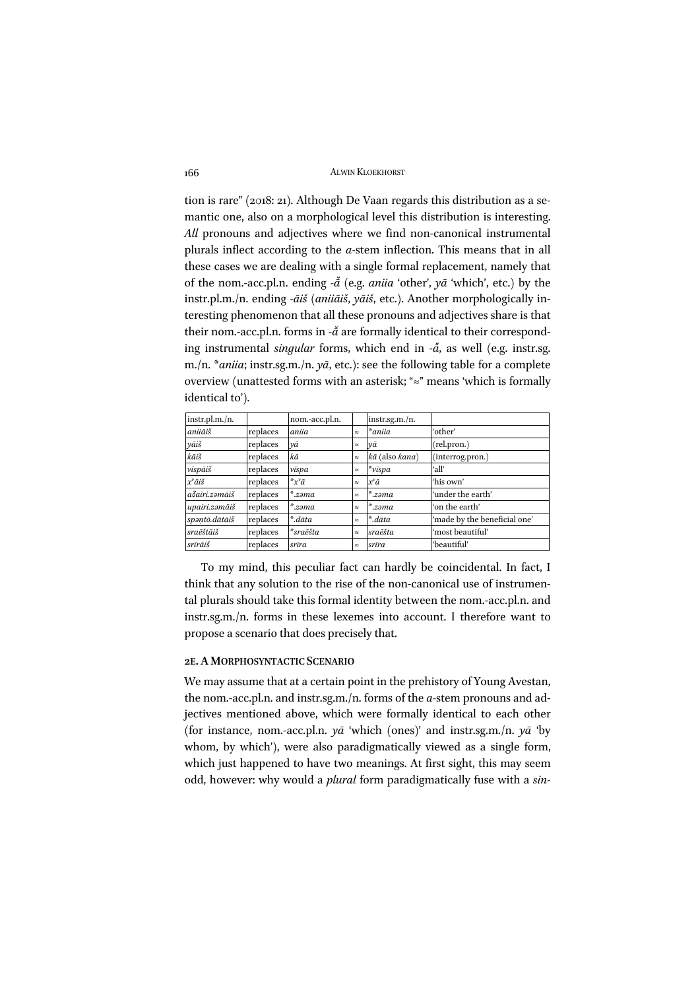tion is rare" (2018: 21). Although De Vaan regards this distribution as a semantic one, also on a morphological level this distribution is interesting. *All* pronouns and adjectives where we find non-canonical instrumental plurals inflect according to the *a-*stem inflection. This means that in all these cases we are dealing with a single formal replacement, namely that of the nom.-acc.pl.n. ending *-ā ̆*(e.g. *aniia* 'other', *yā* 'which', etc.) by the instr.pl.m./n. ending *-āiš* (*aniiāiš*, *yāiš*, etc.). Another morphologically interesting phenomenon that all these pronouns and adjectives share is that their nom.-acc.pl.n. forms in - $\tilde{a}$  are formally identical to their corresponding instrumental *singular* forms, which end in  $-\tilde{a}$ , as well (e.g. instr.sg. m./n. \**aniia*; instr.sg.m./n. *yā*, etc.): see the following table for a complete overview (unattested forms with an asterisk; "≈" means 'which is formally identical to').

| instr.pl.m./n.     |          | nom.-acc.pl.n.        |           | $instr.sg.m./n$ .       |                              |
|--------------------|----------|-----------------------|-----------|-------------------------|------------------------------|
| aniiāiš            | replaces | aniia                 | $\approx$ | *aniia                  | 'other'                      |
| yāiš               | replaces | νā                    | $\approx$ | νa                      | (rel.pron.)                  |
| kāiš               | replaces | kā                    | $\approx$ | kā (also kana)          | (interrog.pron.)             |
| vīspāiš            | replaces | vīspa                 | $\approx$ | $*_{\nu \bar{t} s p a}$ | ʻall'                        |
| x <sup>v</sup> āiš | replaces | * $x^{\nu}a$          | $\approx$ | х <sup>v</sup> ā        | 'his own'                    |
| aδairi.zəmāiš      | replaces | $\mathbf{r}$<br>.zəma | $\approx$ | ∗<br>ʻ.zəma             | 'under the earth'            |
| upairi.zəmāiš      | replaces | $*_{zəma}$            | $\approx$ | $*zəma$                 | 'on the earth'               |
| spantō.dātāiš      | replaces | *.dāta                | $\approx$ | *.dāta                  | 'made by the beneficial one' |
| sraēštāiš          | replaces | *sraēšta              | $\approx$ | sraēšta                 | 'most beautiful'             |
| srīrāiš            | replaces | srīra                 | $\approx$ | srīra                   | 'beautiful'                  |

To my mind, this peculiar fact can hardly be coincidental. In fact, I think that any solution to the rise of the non-canonical use of instrumental plurals should take this formal identity between the nom.-acc.pl.n. and instr.sg.m./n. forms in these lexemes into account. I therefore want to propose a scenario that does precisely that.

#### **2E.A MORPHOSYNTACTIC SCENARIO**

We may assume that at a certain point in the prehistory of Young Avestan, the nom.-acc.pl.n. and instr.sg.m./n. forms of the *a-*stem pronouns and adjectives mentioned above, which were formally identical to each other (for instance, nom.-acc.pl.n. *yā* 'which (ones)' and instr.sg.m./n. *yā* 'by whom, by which'), were also paradigmatically viewed as a single form, which just happened to have two meanings. At first sight, this may seem odd, however: why would a *plural* form paradigmatically fuse with a *sin-*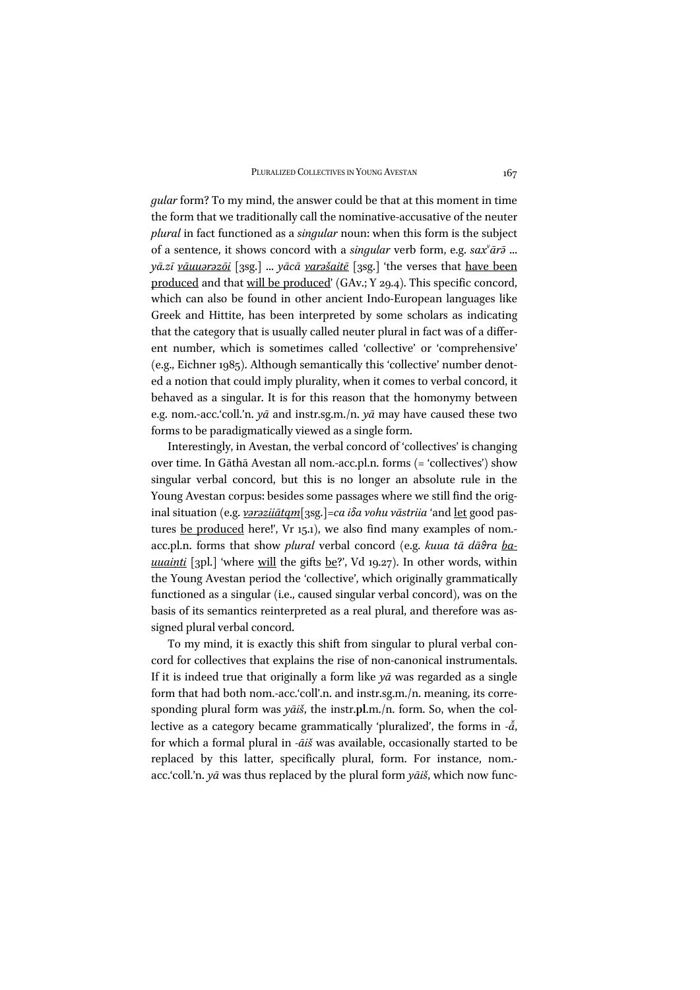*gular* form? To my mind, the answer could be that at this moment in time the form that we traditionally call the nominative-accusative of the neuter *plural* in fact functioned as a *singular* noun: when this form is the subject of a sentence, it shows concord with a *singular* verb form, e.g.  $sax^{\nu}ar\bar{\nu}$  ... *yā.zī vāuuərəzōi* [3sg.] ... *yācā varəšaitē* [3sg.] 'the verses that have been produced and that will be produced' (GAv.; Y 29.4). This specific concord, which can also be found in other ancient Indo-European languages like Greek and Hittite, has been interpreted by some scholars as indicating that the category that is usually called neuter plural in fact was of a different number, which is sometimes called 'collective' or 'comprehensive' (e.g., Eichner 1985). Although semantically this 'collective' number denoted a notion that could imply plurality, when it comes to verbal concord, it behaved as a singular. It is for this reason that the homonymy between e.g. nom.-acc.'coll.'n. *yā* and instr.sg.m./n. *yā* may have caused these two forms to be paradigmatically viewed as a single form.

Interestingly, in Avestan, the verbal concord of 'collectives' is changing over time. In Gāthā Avestan all nom.-acc.pl.n. forms (= 'collectives') show singular verbal concord, but this is no longer an absolute rule in the Young Avestan corpus: besides some passages where we still find the original situation (e.g. *vərəziiātąm*[3sg.]*=ca iδa vohu vāstriia* 'and let good pastures be produced here!', Vr 15.1), we also find many examples of nom. acc.pl.n. forms that show *plural* verbal concord (e.g. *kuua tā dāϑra bauuainti* [3pl.] 'where <u>will</u> the gifts <u>be</u>?', Vd 19.27). In other words, within the Young Avestan period the 'collective', which originally grammatically functioned as a singular (i.e., caused singular verbal concord), was on the basis of its semantics reinterpreted as a real plural, and therefore was assigned plural verbal concord.

To my mind, it is exactly this shift from singular to plural verbal concord for collectives that explains the rise of non-canonical instrumentals. If it is indeed true that originally a form like *yā* was regarded as a single form that had both nom.-acc.'coll'.n. and instr.sg.m./n. meaning, its corresponding plural form was *yāiš*, the instr.**pl**.m./n. form. So, when the collective as a category became grammatically 'pluralized', the forms in - $\check{a}$ , for which a formal plural in *-āiš* was available, occasionally started to be replaced by this latter, specifically plural, form. For instance, nom. acc.'coll.'n. *yā* was thus replaced by the plural form *yāiš*, which now func-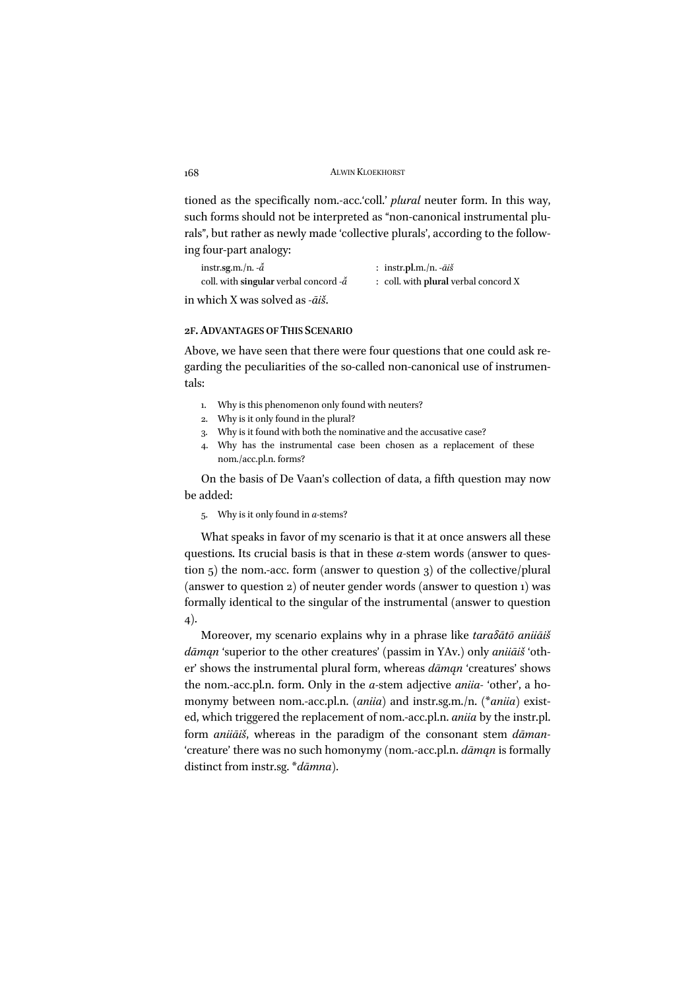tioned as the specifically nom.-acc.'coll.' *plural* neuter form. In this way, such forms should not be interpreted as "non-canonical instrumental plurals", but rather as newly made 'collective plurals', according to the following four-part analogy:

| instr.sg.m./n. $-\tilde{a}$                      | : instr.pl.m./n. $-\bar{a}i\dot{s}$  |
|--------------------------------------------------|--------------------------------------|
| coll. with singular verbal concord - $\check{a}$ | : coll. with plural verbal concord X |
|                                                  |                                      |

in which X was solved as *-āiš*.

## **2F.ADVANTAGES OF THIS SCENARIO**

Above, we have seen that there were four questions that one could ask regarding the peculiarities of the so-called non-canonical use of instrumentals:

- 1. Why is this phenomenon only found with neuters?
- 2. Why is it only found in the plural?
- 3. Why is it found with both the nominative and the accusative case?
- 4. Why has the instrumental case been chosen as a replacement of these nom./acc.pl.n. forms?

On the basis of De Vaan's collection of data, a fifth question may now be added:

5. Why is it only found in *a-*stems?

What speaks in favor of my scenario is that it at once answers all these questions. Its crucial basis is that in these *a-*stem words (answer to question 5) the nom.-acc. form (answer to question 3) of the collective/plural (answer to question 2) of neuter gender words (answer to question 1) was formally identical to the singular of the instrumental (answer to question 4).

Moreover, my scenario explains why in a phrase like *taraδātō aniiāiš dāmąn* 'superior to the other creatures' (passim in YAv.) only *aniiāiš* 'other' shows the instrumental plural form, whereas *dāmąn* 'creatures' shows the nom.-acc.pl.n. form. Only in the *a-*stem adjective *aniia-* 'other', a homonymy between nom.-acc.pl.n. (*aniia*) and instr.sg.m./n. (\**aniia*) existed, which triggered the replacement of nom.-acc.pl.n. *aniia* by the instr.pl. form *aniiāiš*, whereas in the paradigm of the consonant stem *dāman-* 'creature' there was no such homonymy (nom.-acc.pl.n. *dāmąn* is formally distinct from instr.sg. \**dāmna*).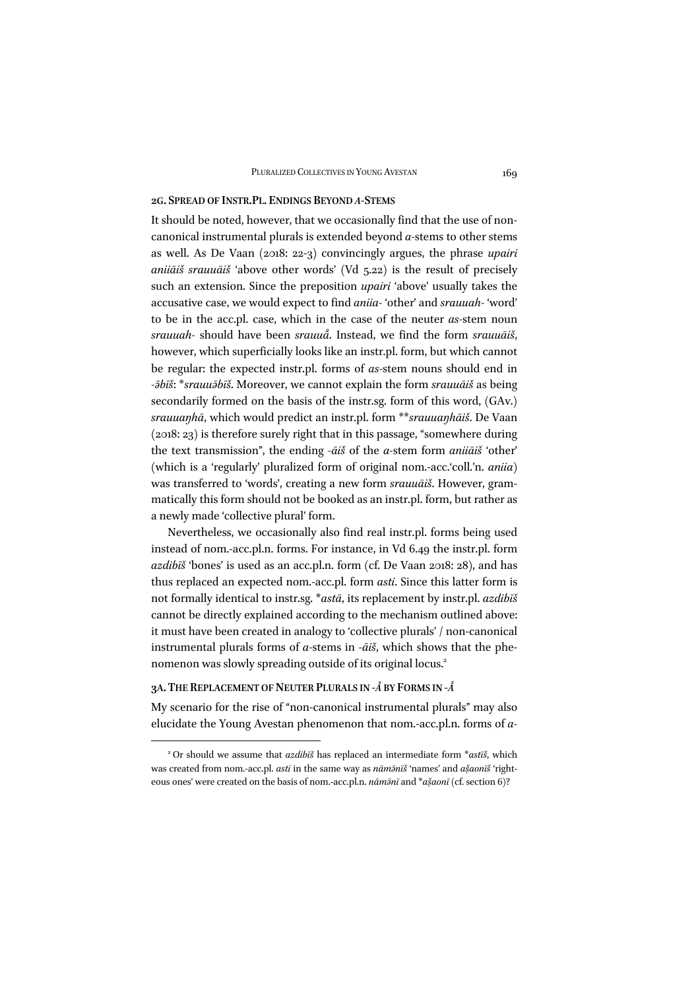#### **2G. SPREAD OF INSTR.PL. ENDINGS BEYOND** *A-***STEMS**

It should be noted, however, that we occasionally find that the use of noncanonical instrumental plurals is extended beyond *a-*stems to other stems as well. As De Vaan (2018: 22-3) convincingly argues, the phrase *upairi aniiāiš srauuāiš* 'above other words' (Vd 5.22) is the result of precisely such an extension. Since the preposition *upairi* 'above' usually takes the accusative case, we would expect to find *aniia-* 'other' and *srauuah-* 'word' to be in the acc.pl. case, which in the case of the neuter *as-*stem noun *srauuah-* should have been *srauuā* . Instead, we find the form *srauuāiš*, *̊* however, which superficially looks like an instr.pl. form, but which cannot be regular: the expected instr.pl. forms of *as-*stem nouns should end in *-ə̄bīš*: \**srauuə̄bīš*. Moreover, we cannot explain the form *srauuāiš* as being secondarily formed on the basis of the instr.sg. form of this word, (GAv.) *srauuaŋhā*, which would predict an instr.pl. form \*\**srauuaŋhāiš*. De Vaan (2018: 23) is therefore surely right that in this passage, "somewhere during the text transmission", the ending *-āiš* of the *a-*stem form *aniiāiš* 'other' (which is a 'regularly' pluralized form of original nom.-acc.'coll.'n. *aniia*) was transferred to 'words', creating a new form *srauuāiš*. However, grammatically this form should not be booked as an instr.pl. form, but rather as a newly made 'collective plural' form.

Nevertheless, we occasionally also find real instr.pl. forms being used instead of nom.-acc.pl.n. forms. For instance, in Vd 6.49 the instr.pl. form *azdibīš* 'bones' is used as an acc.pl.n. form (cf. De Vaan 2018: 28), and has thus replaced an expected nom.-acc.pl. form *asti*. Since this latter form is not formally identical to instr.sg. \**astā*, its replacement by instr.pl. *azdibīš* cannot be directly explained according to the mechanism outlined above: it must have been created in analogy to 'collective plurals' / non-canonical instrumental plurals forms of *a-*stems in *-āiš*, which shows that the phenomenon was slowly spreading outside of its original locus.2

#### **3A. THE REPLACEMENT OF NEUTER PLURALS IN** *-Ā ̆***BY FORMS IN** *-Ā ̊*

My scenario for the rise of "non-canonical instrumental plurals" may also elucidate the Young Avestan phenomenon that nom.-acc.pl.n. forms of *a-*

<sup>2</sup> Or should we assume that *azdibīš* has replaced an intermediate form \**astīš*, which was created from nom.-acc.pl. *asti* in the same way as  $n\bar{a}m\bar{a}n\bar{a}$ <sup>x</sup> 'names' and  $a\bar{s}aoni\bar{s}$  'righteous ones' were created on the basis of nom.-acc.pl.n. *nāmə̄nī* and \**asaon ̣̌ ī* (cf. section 6)?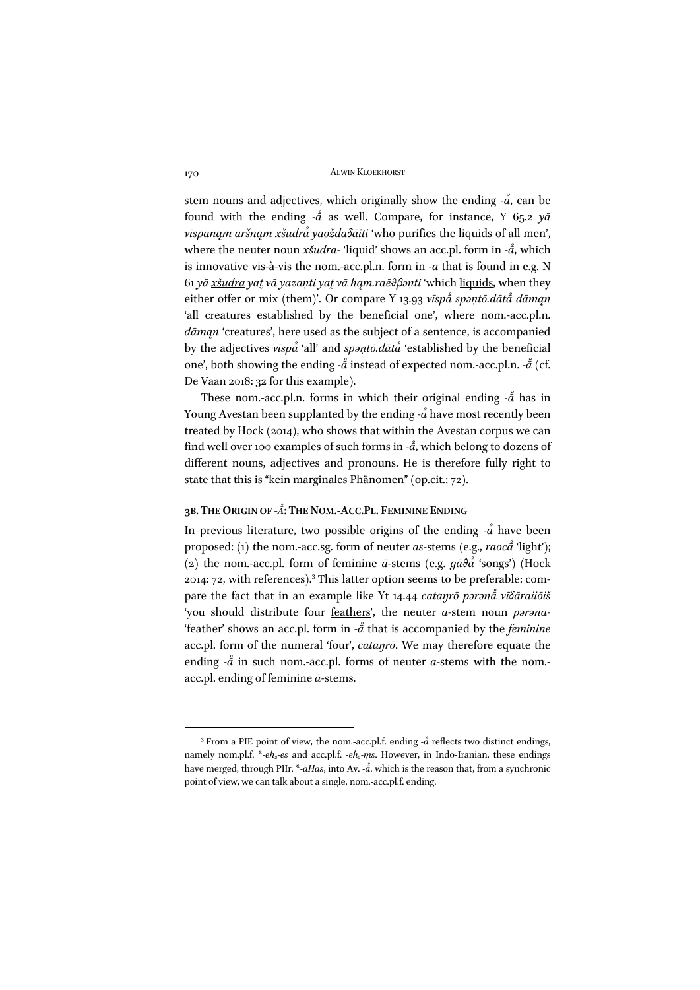stem nouns and adjectives, which originally show the ending - $\check{a}$ , can be found with the ending - $a$ <sup>†</sup> as well. Compare, for instance, Y 65.2 *y* $\bar{a}$ *vīspanąm aršnąm xšudrā ̊yaoždaδāiti* 'who purifies the liquids of all men', where the neuter noun *xšudra-* 'liquid' shows an acc.pl. form in *-ā* , which *̊* is innovative vis-à-vis the nom.-acc.pl.n. form in *-a* that is found in e.g. N 61 *yā xšudra yat̰vā yazaṇti yat̰vā hąm.raēθβəṇti* 'which liquids, when they either offer or mix (them)'. Or compare Y 13.93 *vīspā ̊spəṇtō.dātā ̊dāmąn* 'all creatures established by the beneficial one', where nom.-acc.pl.n. *dāmąn* 'creatures', here used as the subject of a sentence, is accompanied by the adjectives *vīspā ̊* 'all' and *spəṇtō.dātā ̊* 'established by the beneficial one', both showing the ending - $\mathring{a}$  instead of expected nom.-acc.pl.n. - $\mathring{a}$  (cf. De Vaan 2018: 32 for this example).

These nom.-acc.pl.n. forms in which their original ending - $\check{a}$  has in Young Avestan been supplanted by the ending *-ā ̊*have most recently been treated by Hock (2014), who shows that within the Avestan corpus we can find well over 100 examples of such forms in *-ā* , which belong to dozens of different nouns, adjectives and pronouns. He is therefore fully right to state that this is "kein marginales Phänomen" (op.cit.: 72).

#### **3B. THE ORIGIN OF** *-Ā* **: THE NOM.-ACC.PL. FEMININE ENDING** *̊*

In previous literature, two possible origins of the ending *-ā ̊* have been proposed: (1) the nom.-acc.sg. form of neuter *as-*stems (e.g., *raocā ̊* 'light'); (2) the nom.-acc.pl. form of feminine *ā-*stems (e.g. *gāθā ̊* 'songs') (Hock 2014: 72, with references).<sup>3</sup> This latter option seems to be preferable: compare the fact that in an example like Yt 14.44 *cataŋrō pərənā ̊ vīδāraiiōiš* 'you should distribute four feathers', the neuter *a-*stem noun *pərəna-* 'feather' shows an acc.pl. form in *-ā ̊*that is accompanied by the *feminine* acc.pl. form of the numeral 'four', *cataŋrō*. We may therefore equate the ending  $-\hat{a}$  in such nom.-acc.pl. forms of neuter *a*-stems with the nom.acc.pl. ending of feminine *ā-*stems.

<sup>&</sup>lt;sup>3</sup> From a PIE point of view, the nom.-acc.pl.f. ending - $\mathring{a}$  reflects two distinct endings, namely nom.pl.f. \*-eh<sub>2</sub>-es and acc.pl.f. -eh<sub>2</sub>-m<sup>*s*</sup>. However, in Indo-Iranian, these endings have merged, through PIIr. \**-aHas*, into Av. *-ā* , which is the reason that, from a synchronic *̊* point of view, we can talk about a single, nom.-acc.pl.f. ending.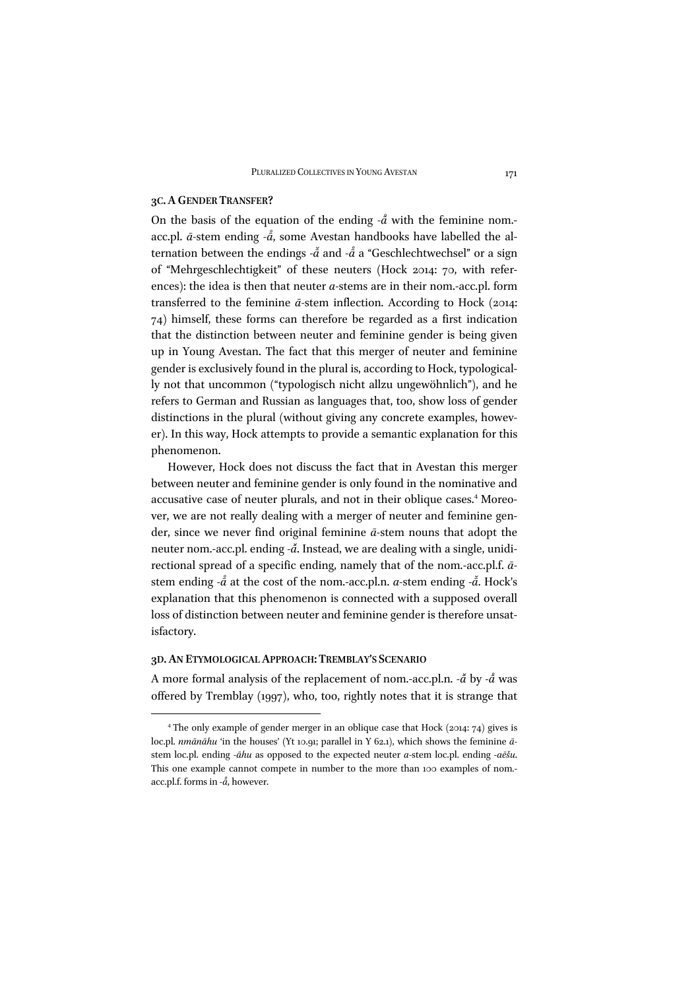#### **3C.AGENDER TRANSFER?**

On the basis of the equation of the ending  $-\hat{a}$  with the feminine nom.acc.pl.  $\bar{a}$ -stem ending - $\bar{\bar{a}}$ , some Avestan handbooks have labelled the al-*̊* ternation between the endings - $\tilde{a}$  and - $\mathring{a}$  a "Geschlechtwechsel" or a sign of "Mehrgeschlechtigkeit" of these neuters (Hock 2014: 70, with references): the idea is then that neuter *a-*stems are in their nom.-acc.pl. form transferred to the feminine *ā-*stem inflection. According to Hock (2014: 74) himself, these forms can therefore be regarded as a first indication that the distinction between neuter and feminine gender is being given up in Young Avestan. The fact that this merger of neuter and feminine gender is exclusively found in the plural is, according to Hock, typologically not that uncommon ("typologisch nicht allzu ungewöhnlich"), and he refers to German and Russian as languages that, too, show loss of gender distinctions in the plural (without giving any concrete examples, however). In this way, Hock attempts to provide a semantic explanation for this phenomenon.

However, Hock does not discuss the fact that in Avestan this merger between neuter and feminine gender is only found in the nominative and accusative case of neuter plurals, and not in their oblique cases.<sup>4</sup> Moreover, we are not really dealing with a merger of neuter and feminine gender, since we never find original feminine *ā-*stem nouns that adopt the neuter nom.-acc.pl. ending - $\tilde{a}$ . Instead, we are dealing with a single, unidirectional spread of a specific ending, namely that of the nom.-acc.pl.f. *ā*stem ending *-å* at the cost of the nom.-acc.pl.n. *a*-stem ending -*å*. Hock's explanation that this phenomenon is connected with a supposed overall loss of distinction between neuter and feminine gender is therefore unsatisfactory.

#### **3D.AN ETYMOLOGICAL APPROACH: TREMBLAY'S SCENARIO**

A more formal analysis of the replacement of nom.-acc.pl.n. *-ā ̆*by *-ā ̊*was offered by Tremblay (1997), who, too, rightly notes that it is strange that

<sup>4</sup> The only example of gender merger in an oblique case that Hock (2014: 74) gives is loc.pl. *nmānāhu* 'in the houses' (Yt 10.91; parallel in Y 62.1), which shows the feminine  $\bar{a}$ stem loc.pl. ending *-āhu* as opposed to the expected neuter *a-*stem loc.pl. ending *-aēšu*. This one example cannot compete in number to the more than 100 examples of nom. acc.pl.f. forms in *-ā* , however.*̊*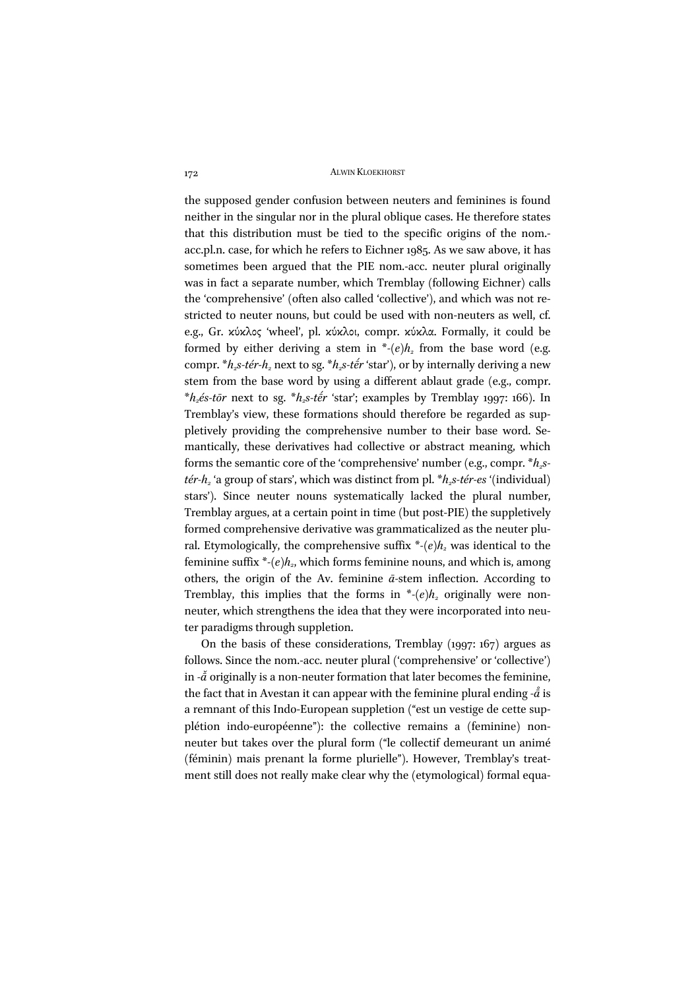the supposed gender confusion between neuters and feminines is found neither in the singular nor in the plural oblique cases. He therefore states that this distribution must be tied to the specific origins of the nom. acc.pl.n. case, for which he refers to Eichner 1985. As we saw above, it has sometimes been argued that the PIE nom.-acc. neuter plural originally was in fact a separate number, which Tremblay (following Eichner) calls the 'comprehensive' (often also called 'collective'), and which was not restricted to neuter nouns, but could be used with non-neuters as well, cf. e.g., Gr. κύκλος 'wheel', pl. κύκλοι, compr. κύκλα. Formally, it could be formed by either deriving a stem in  $*(e)h<sub>2</sub>$  from the base word (e.g. compr.  $*h<sub>2</sub>s-tér-h<sub>2</sub>$  next to sg.  $*h<sub>2</sub>s-tér$  'star'), or by internally deriving a new stem from the base word by using a different ablaut grade (e.g., compr.  $*h<sub>2</sub>$ *és-tōr* next to sg.  $*h<sub>2</sub>$ *s-tḗr* 'star'; examples by Tremblay 1997: 166). In Tremblay's view, these formations should therefore be regarded as suppletively providing the comprehensive number to their base word. Semantically, these derivatives had collective or abstract meaning, which forms the semantic core of the 'comprehensive' number (e.g., compr.  $*h_2s$ *tér-h<sub>2</sub>* 'a group of stars', which was distinct from pl. \**h<sub>2</sub>s-tér-es* '(individual) stars'). Since neuter nouns systematically lacked the plural number, Tremblay argues, at a certain point in time (but post-PIE) the suppletively formed comprehensive derivative was grammaticalized as the neuter plural. Etymologically, the comprehensive suffix  $*(e)h<sub>2</sub>$  was identical to the feminine suffix  $*(e)h_{2}$ , which forms feminine nouns, and which is, among others, the origin of the Av. feminine *ā-*stem inflection. According to Tremblay, this implies that the forms in  $*(e)h<sub>2</sub>$  originally were nonneuter, which strengthens the idea that they were incorporated into neuter paradigms through suppletion.

On the basis of these considerations, Tremblay (1997: 167) argues as follows. Since the nom.-acc. neuter plural ('comprehensive' or 'collective') in *-ā ̆*originally is a non-neuter formation that later becomes the feminine, the fact that in Avestan it can appear with the feminine plural ending - $\mathring{\tilde{a}}$  is a remnant of this Indo-European suppletion ("est un vestige de cette supplétion indo-européenne"): the collective remains a (feminine) nonneuter but takes over the plural form ("le collectif demeurant un animé (féminin) mais prenant la forme plurielle"). However, Tremblay's treatment still does not really make clear why the (etymological) formal equa-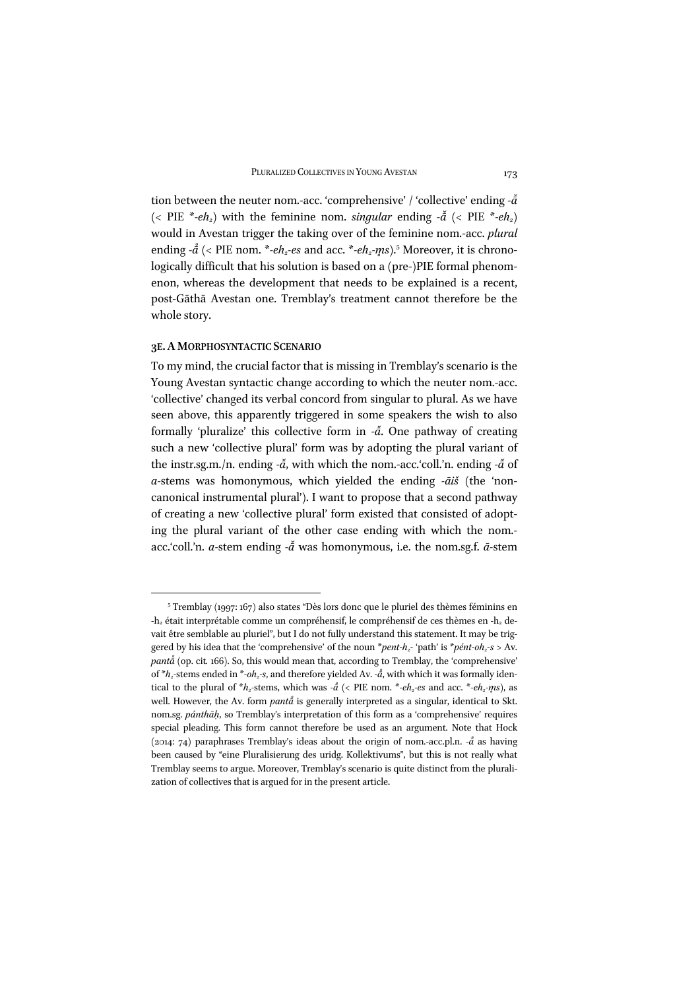tion between the neuter nom.-acc. 'comprehensive' / 'collective' ending *‑ā ̆*  $\left($  < PIE \*-eh<sub>2</sub></sub> with the feminine nom. *singular* ending  $-\tilde{a}$   $\left($  < PIE \*-eh<sub>2</sub> $\right)$ would in Avestan trigger the taking over of the feminine nom.-acc. *plural* ending  $-\hat{a}$  (< PIE nom. \*-eh<sub>2</sub>-es and acc. \*-eh<sub>2</sub>-m̥s).<sup>5</sup> Moreover, it is chronologically difficult that his solution is based on a (pre-)PIE formal phenomenon, whereas the development that needs to be explained is a recent, post-Gāthā Avestan one. Tremblay's treatment cannot therefore be the whole story.

## **3E.A MORPHOSYNTACTIC SCENARIO**

To my mind, the crucial factor that is missing in Tremblay's scenario is the Young Avestan syntactic change according to which the neuter nom.-acc. 'collective' changed its verbal concord from singular to plural. As we have seen above, this apparently triggered in some speakers the wish to also formally 'pluralize' this collective form in  $-\tilde{a}$ . One pathway of creating such a new 'collective plural' form was by adopting the plural variant of the instr.sg.m./n. ending - $\check{a}$ , with which the nom.-acc.'coll.'n. ending - $\check{a}$  of *a-*stems was homonymous, which yielded the ending *-āiš* (the 'noncanonical instrumental plural'). I want to propose that a second pathway of creating a new 'collective plural' form existed that consisted of adopting the plural variant of the other case ending with which the nom. acc.'coll.'n. *a*-stem ending - $\tilde{a}$  was homonymous, i.e. the nom.sg.f.  $\tilde{a}$ -stem

<sup>5</sup> Tremblay (1997: 167) also states "Dès lors donc que le pluriel des thèmes féminins en  $-h<sub>2</sub>$  était interprétable comme un compréhensif, le compréhensif de ces thèmes en  $-h<sub>2</sub>$  devait être semblable au pluriel", but I do not fully understand this statement. It may be triggered by his idea that the 'comprehensive' of the noun *\*pent-h<sub>2</sub>-* 'path' is *\*pént-oh<sub>2</sub>-s* > Av. *pantā ̊*(op. cit*.* 166). So, this would mean that, according to Tremblay, the 'comprehensive' of  $*h_2$ -stems ended in  $*$ -*oh<sub>2</sub>-s*, and therefore yielded Av. - $\ddot{a}$ , with which it was formally identical to the plural of  $*h_2$ -stems, which was  $-\aa$  (< PIE nom.  $*-eh_2-es$  and acc.  $*-eh_2-*ms*$ ), as well. However, the Av. form *pantå* is generally interpreted as a singular, identical to Skt. nom.sg. *pánthāḥ*, so Tremblay's interpretation of this form as a 'comprehensive' requires special pleading. This form cannot therefore be used as an argument. Note that Hock (2014: 74) paraphrases Tremblay's ideas about the origin of nom.-acc.pl.n. *-ā ̊* as having been caused by "eine Pluralisierung des uridg. Kollektivums", but this is not really what Tremblay seems to argue. Moreover, Tremblay's scenario is quite distinct from the pluralization of collectives that is argued for in the present article.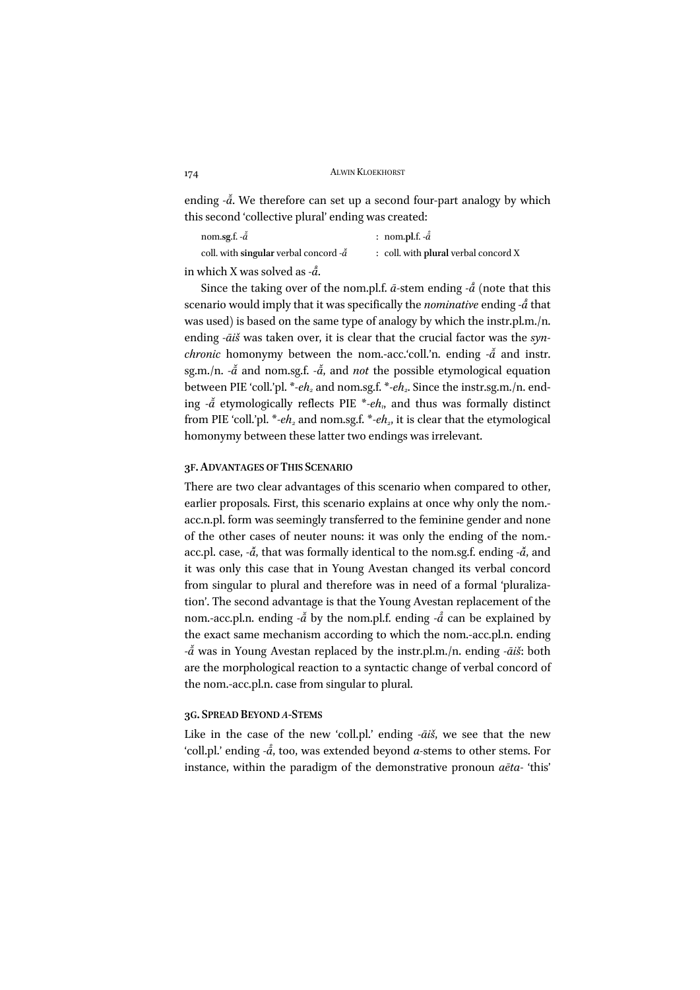```
174 ALWIN KLOEKHORST
```
ending  $-\tilde{a}$ . We therefore can set up a second four-part analogy by which this second 'collective plural' ending was created:

| nom.sg.f. $-\tilde{a}$                          | : nom.pl.f. $-\ddot{a}$              |
|-------------------------------------------------|--------------------------------------|
| coll. with singular verbal concord $-\tilde{a}$ | : coll. with plural verbal concord X |
|                                                 |                                      |

in which X was solved as *-ā* . *̊*

Since the taking over of the nom.pl.f.  $\bar{a}$ -stem ending - $\mathring{\bar{a}}$  (note that this scenario would imply that it was specifically the *nominative* ending *-ā ̊*that was used) is based on the same type of analogy by which the instr.pl.m./n. ending *-āiš* was taken over, it is clear that the crucial factor was the *synchronic* homonymy between the nom.-acc.'coll.'n. ending  $-\tilde{a}$  and instr. sg.m./n. *-ā ̆* and nom.sg.f. *‑ā ̆*, and *not* the possible etymological equation between PIE 'coll.'pl. \*-eh<sub>2</sub> and nom.sg.f. \*-eh<sub>2</sub>. Since the instr.sg.m./n. ending  $-\tilde{a}$  etymologically reflects PIE \*-eh<sub>1</sub>, and thus was formally distinct from PIE 'coll.'pl. \*-eh<sub>2</sub> and nom.sg.f. \*-eh<sub>2</sub>, it is clear that the etymological homonymy between these latter two endings was irrelevant.

#### **3F.ADVANTAGES OF THIS SCENARIO**

There are two clear advantages of this scenario when compared to other, earlier proposals. First, this scenario explains at once why only the nom. acc.n.pl. form was seemingly transferred to the feminine gender and none of the other cases of neuter nouns: it was only the ending of the nom. acc.pl. case, *-* $\check{a}$ , that was formally identical to the nom.sg.f. ending *-* $\check{a}$ , and it was only this case that in Young Avestan changed its verbal concord from singular to plural and therefore was in need of a formal 'pluralization'. The second advantage is that the Young Avestan replacement of the nom.-acc.pl.n. ending *-ā ̆*by the nom.pl.f. ending *-ā ̊* can be explained by the exact same mechanism according to which the nom.-acc.pl.n. ending *-ā ̆*was in Young Avestan replaced by the instr.pl.m./n. ending *-āiš*: both are the morphological reaction to a syntactic change of verbal concord of the nom.-acc.pl.n. case from singular to plural.

#### **3G. SPREAD BEYOND** *A***-STEMS**

Like in the case of the new 'coll.pl.' ending *-āiš*, we see that the new 'coll.pl.' ending *-ā* , too, was extended beyond *a-*stems to other stems. For instance, within the paradigm of the demonstrative pronoun *aēta-* 'this'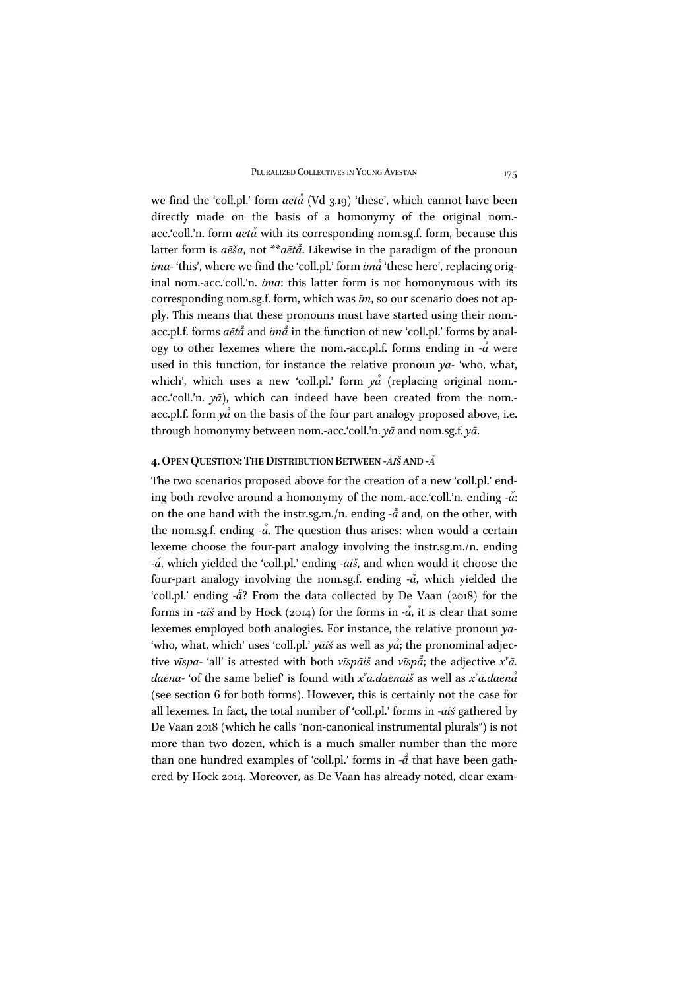we find the 'coll.pl.' form *aētā ̊*(Vd 3.19) 'these', which cannot have been directly made on the basis of a homonymy of the original nom.acc.'coll.'n. form *aētā ̆*with its corresponding nom.sg.f. form, because this latter form is *aēša*, not \*\**aētā ̆*. Likewise in the paradigm of the pronoun *ima-* 'this', where we find the 'coll.pl.' form *imā ̊*'these here', replacing original nom.-acc.'coll.'n. *ima*: this latter form is not homonymous with its corresponding nom.sg.f. form, which was *īm*, so our scenario does not apply. This means that these pronouns must have started using their nom. acc.pl.f. forms *aētā ̊*and *imā ̊*in the function of new 'coll.pl.' forms by analogy to other lexemes where the nom.-acc.pl.f. forms ending in  $-\mathring{a}$  were used in this function, for instance the relative pronoun *ya-* 'who, what, which', which uses a new 'coll.pl.' form  $y\mathring{a}$  (replacing original nom.acc.'coll.'n. *yā*), which can indeed have been created from the nom. acc.pl.f. form *yā ̊*on the basis of the four part analogy proposed above, i.e. through homonymy between nom.-acc.'coll.'n. *yā* and nom.sg.f. *yā*.

#### **4.OPEN QUESTION: THE DISTRIBUTION BETWEEN** *-ĀIŠ* **AND** *-Ā ̊*

The two scenarios proposed above for the creation of a new 'coll.pl.' ending both revolve around a homonymy of the nom.-acc.'coll.'n. ending - $\check{a}$ : on the one hand with the instr.sg.m./n. ending - $\tilde{a}$  and, on the other, with the nom.sg.f. ending - $\check{a}$ . The question thus arises: when would a certain lexeme choose the four-part analogy involving the instr.sg.m./n. ending *-ā ̆*, which yielded the 'coll.pl.' ending *-āiš*, and when would it choose the four-part analogy involving the nom.sg.f. ending  $-\tilde{a}$ , which yielded the 'coll.pl.' ending - $\dot{\bar{a}}$ ? From the data collected by De Vaan (2018) for the *̊* forms in *-* $\bar{a}$ *i* $\bar{s}$  and by Hock (2014) for the forms in - $\bar{a}$ , it is clear that some *̊* lexemes employed both analogies. For instance, the relative pronoun *ya-* 'who, what, which' uses 'coll.pl.' *yāiš* as well as *yā* ; the pronominal adjec-*̊* tive *vīspa-* 'all' is attested with both *vīspāiš* and *vīspā* ; the adjective *xv ā. daēna-* 'of the same belief' is found with *xv ā.daēnāiš* as well as *xv ā.daēnā ̊* (see section 6 for both forms). However, this is certainly not the case for all lexemes. In fact, the total number of 'coll.pl.' forms in *-āiš* gathered by De Vaan 2018 (which he calls "non-canonical instrumental plurals") is not more than two dozen, which is a much smaller number than the more than one hundred examples of 'coll.pl.' forms in *-ā ̊*that have been gathered by Hock 2014. Moreover, as De Vaan has already noted, clear exam-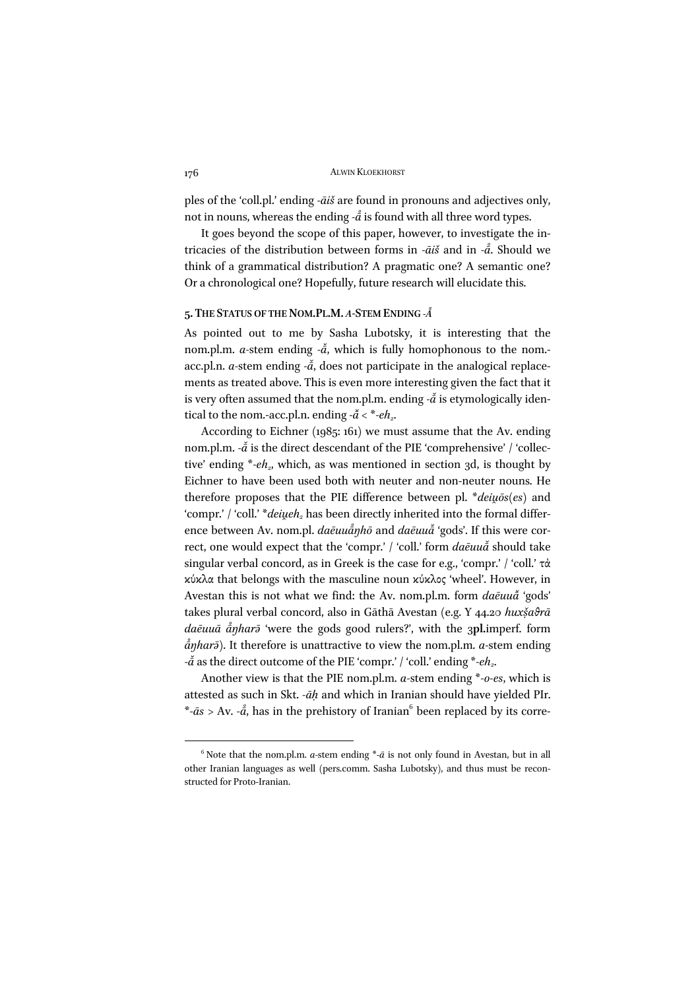ples of the 'coll.pl.' ending *-āiš* are found in pronouns and adjectives only, not in nouns, whereas the ending - $\mathring{\bar{a}}$  is found with all three word types.

It goes beyond the scope of this paper, however, to investigate the intricacies of the distribution between forms in *-āiš* and in *-ā* . Should we *̊* think of a grammatical distribution? A pragmatic one? A semantic one? Or a chronological one? Hopefully, future research will elucidate this.

#### **5. THE STATUS OF THE NOM.PL.M.** *A-***STEM ENDING** *-Ā*

As pointed out to me by Sasha Lubotsky, it is interesting that the nom.pl.m. *a*-stem ending  $-\tilde{a}$ , which is fully homophonous to the nom.acc.pl.n. *a*-stem ending - $\tilde{a}$ , does not participate in the analogical replacements as treated above. This is even more interesting given the fact that it is very often assumed that the nom.pl.m. ending - $\tilde{a}$  is etymologically identical to the nom.-acc.pl.n. ending  $-\tilde{a} < *$ - $eh_2$ .

According to Eichner (1985: 161) we must assume that the Av. ending nom.pl.m. - $\check{a}$  is the direct descendant of the PIE 'comprehensive' / 'collective' ending \*-eh<sub>2</sub>, which, as was mentioned in section 3d, is thought by Eichner to have been used both with neuter and non-neuter nouns. He therefore proposes that the PIE difference between pl. \**deiu̯ōs(es)* and 'compr.' / 'coll.' \**deiueh*<sub>2</sub> has been directly inherited into the formal difference between Av. nom.pl. *daēuuā ŋhō* and *daēuuā ̆*'gods'. If this were cor-*̊* rect, one would expect that the 'compr.' / 'coll.' form *daēuuā ̆*should take singular verbal concord, as in Greek is the case for e.g., 'compr.' / 'coll.' τὰ κύκλα that belongs with the masculine noun κύκλος 'wheel'. However, in Avestan this is not what we find: the Av. nom.pl.m. form *daēuuā ̆* 'gods' takes plural verbal concord, also in Gāthā Avestan (e.g. Y 44.20 *huxsạ̌ ϑrā daēuuā ā ŋharə̄* 'were the gods good rulers?', with the 3**pl.**imperf. form *̊ ā ŋharə̄*). It therefore is unattractive to view the nom.pl.m. *a-*stem ending *̊* - $\tilde{a}$  as the direct outcome of the PIE 'compr.' / 'coll.' ending \*-eh<sub>2</sub>.

Another view is that the PIE nom.pl.m. *a-*stem ending \**-o-es*, which is attested as such in Skt. *-āḥ* and which in Iranian should have yielded PIr. \**-ās* > Av. *-ā* , has in the prehistory of Iranian6 been replaced by its corre-*̊*

 $6$  Note that the nom.pl.m. *a*-stem ending  $*$ - $\bar{a}$  is not only found in Avestan, but in all other Iranian languages as well (pers.comm. Sasha Lubotsky), and thus must be reconstructed for Proto-Iranian.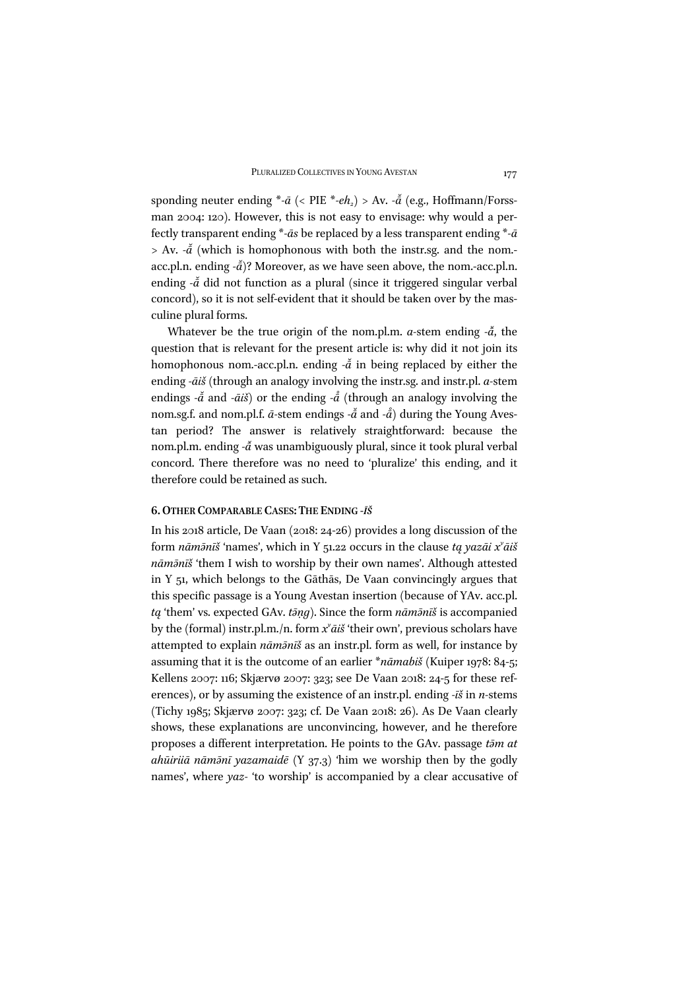sponding neuter ending \**-ā* (< PIE \**-eh2*) > Av. *-ā ̆*(e.g., Hoffmann/Forssman 2004: 120). However, this is not easy to envisage: why would a perfectly transparent ending \**-ās* be replaced by a less transparent ending \**-ā* > Av. *-ā ̆*(which is homophonous with both the instr.sg. and the nom. acc.pl.n. ending - $\bar{a}$ )? Moreover, as we have seen above, the nom.-acc.pl.n. ending  $-\tilde{a}$  did not function as a plural (since it triggered singular verbal concord), so it is not self-evident that it should be taken over by the masculine plural forms.

Whatever be the true origin of the nom.pl.m. *a*-stem ending - $\tilde{a}$ , the question that is relevant for the present article is: why did it not join its homophonous nom.-acc.pl.n. ending - $\check{a}$  in being replaced by either the ending *-āiš* (through an analogy involving the instr.sg. and instr.pl. *a-*stem endings  $-\tilde{a}$  and  $-\tilde{a}i\tilde{s}$ ) or the ending  $-\tilde{a}$  (through an analogy involving the nom.sg.f. and nom.pl.f.  $\bar{a}$ -stem endings - $\tilde{\bar{a}}$  and - $\mathring{\bar{a}}$ ) during the Young Aves-*̊* tan period? The answer is relatively straightforward: because the nom.pl.m. ending *-ā ̆*was unambiguously plural, since it took plural verbal concord. There therefore was no need to 'pluralize' this ending, and it therefore could be retained as such.

## **6.OTHER COMPARABLE CASES: THE ENDING** *-ĪŠ*

In his 2018 article, De Vaan (2018: 24-26) provides a long discussion of the form *nāmə̄nīš* 'names', which in Y 51.22 occurs in the clause *tą yazāi xv āiš nāmə̄nīš* 'them I wish to worship by their own names'. Although attested in Y 51, which belongs to the Gāthās, De Vaan convincingly argues that this specific passage is a Young Avestan insertion (because of YAv. acc.pl. *tą* 'them' vs. expected GAv. *tə̄ṇg*). Since the form *nāmə̄nīš* is accompanied by the (formal) instr.pl.m./n. form *xv āiš* 'their own', previous scholars have attempted to explain *nāmə̄nīš* as an instr.pl. form as well, for instance by assuming that it is the outcome of an earlier \**nāmabiš* (Kuiper 1978: 84-5; Kellens 2007: 116; Skjærvø 2007: 323; see De Vaan 2018: 24-5 for these references), or by assuming the existence of an instr.pl. ending *-īš* in *n-*stems (Tichy 1985; Skjærvø 2007: 323; cf. De Vaan 2018: 26). As De Vaan clearly shows, these explanations are unconvincing, however, and he therefore proposes a different interpretation. He points to the GAv. passage *tə̄m at ahūiriiā nāmə̄nī yazamaidē* (Y 37.3) 'him we worship then by the godly names', where *yaz-* 'to worship' is accompanied by a clear accusative of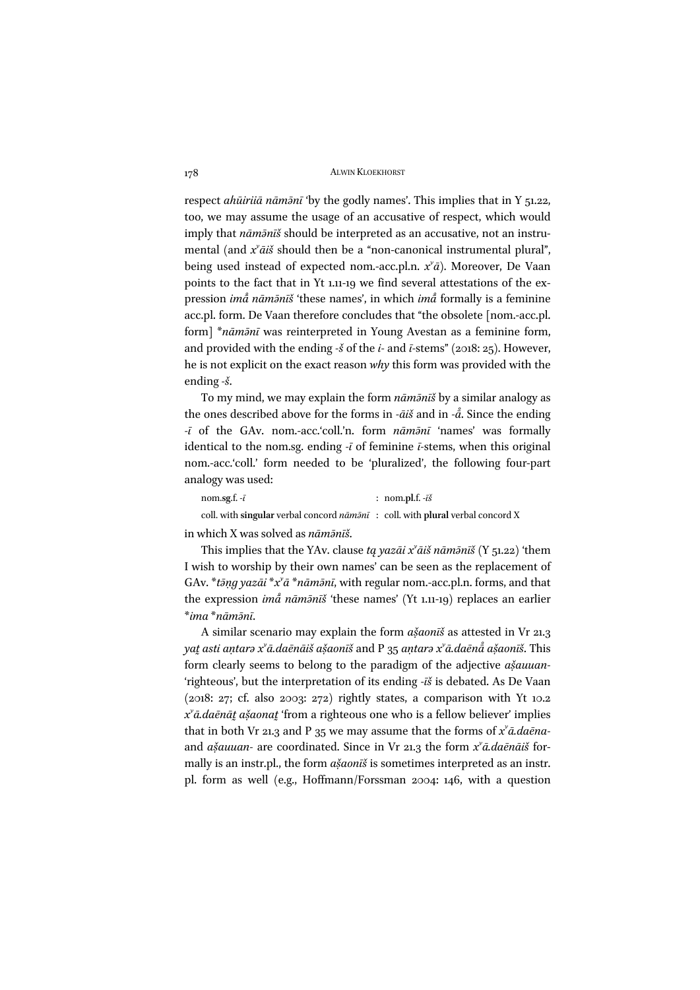respect *ahūiriiā nāmə̄nī* 'by the godly names'. This implies that in Y 51.22, too, we may assume the usage of an accusative of respect, which would imply that *nāmə̄nīš* should be interpreted as an accusative, not an instrumental (and  $x^{\prime}$ *āiš* should then be a "non-canonical instrumental plural", being used instead of expected nom.-acc.pl.n. *xv ā*). Moreover, De Vaan points to the fact that in Yt 1.11-19 we find several attestations of the expression *imā ̊nāmə̄nīš* 'these names', in which *imā ̊*formally is a feminine acc.pl. form. De Vaan therefore concludes that "the obsolete [nom.-acc.pl. form] \**nāmə̄nī* was reinterpreted in Young Avestan as a feminine form, and provided with the ending *-š* of the *i-* and *ī-*stems" (2018: 25). However, he is not explicit on the exact reason *why* this form was provided with the ending *-š*.

To my mind, we may explain the form *nāmə̄nīš* by a similar analogy as the ones described above for the forms in *-āiš* and in *-ā* . Since the ending *̊ -ī* of the GAv. nom.-acc.'coll.'n. form *nāmə̄nī* 'names' was formally identical to the nom.sg. ending *-ī* of feminine *ī-*stems, when this original nom.-acc.'coll.' form needed to be 'pluralized', the following four-part analogy was used:

| nom.sg.f. $-\bar{i}$                                                                               | : nom.pl.f. $-\bar{i}\check{s}$ |
|----------------------------------------------------------------------------------------------------|---------------------------------|
| coll, with singular verbal concord $n\bar{a}m\bar{a}n\bar{a}$ : coll, with plural verbal concord X |                                 |

in which X was solved as *nāmə̄nīš*.

This implies that the YAv. clause *tą yazāi xv āiš nāmə̄nīš* (Y 51.22) 'them I wish to worship by their own names' can be seen as the replacement of GAv. \**tə̄ṇg yazāi* \**xv ā* \**nāmə̄nī*, with regular nom.-acc.pl.n. forms, and that the expression *imā ̊ nāmə̄nīš* 'these names' (Yt 1.11-19) replaces an earlier \**ima* \**nāmə̄nī*.

A similar scenario may explain the form *ašaonīš* as attested in Vr 21.3 yat asti aņtarə x"ā.daēnāiš ašaonīš and P 35 aņtarə x"ā.daēnāໍ ašaonīš. This form clearly seems to belong to the paradigm of the adjective *ašauuan* 'righteous', but the interpretation of its ending *-īš* is debated. As De Vaan  $(2018: 27; cf. also 2003: 272)$  rightly states, a comparison with Yt 10.2 *xv ā.daēnāt̰asaona ̣̌ t̰*'from a righteous one who is a fellow believer' implies that in both Vr 21.3 and P 35 we may assume that the forms of *xv ā.daēna*and *ašauuan*- are coordinated. Since in Vr 21.3 the form  $x^{\nu}$ *ā.daēnāiš* formally is an instr.pl., the form  $a\xi aon\bar{a}\xi$  is sometimes interpreted as an instr. pl. form as well (e.g., Hoffmann/Forssman 2004: 146, with a question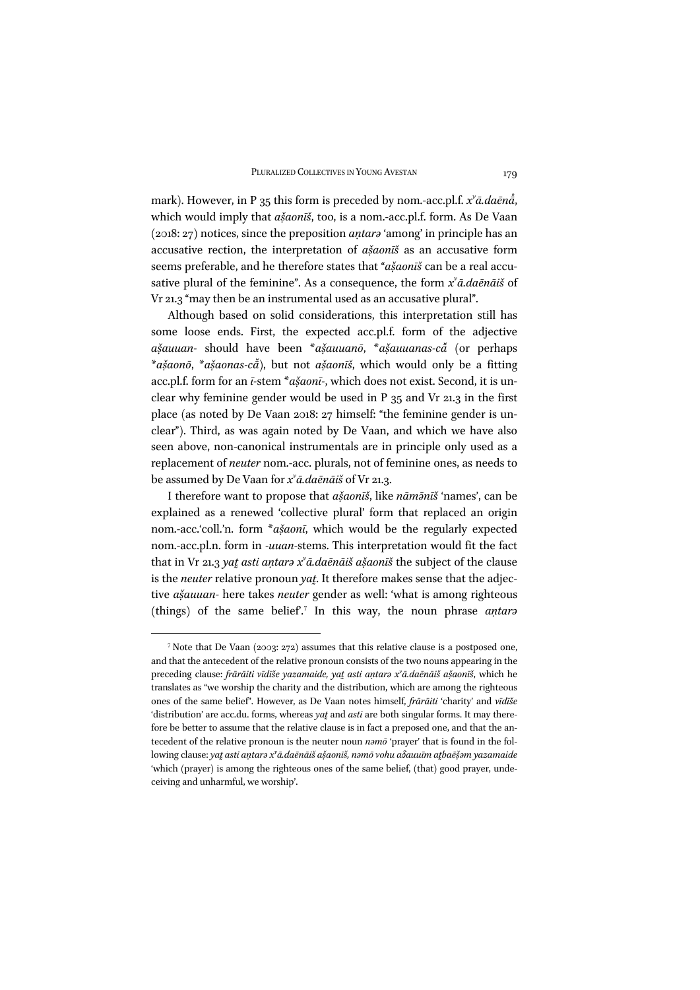mark). However, in P 35 this form is preceded by nom.-acc.pl.f.  $x^{\nu}$ *ā.daēnå*, *̊* which would imply that  $a\check{a}o$ *nīš*, too, is a nom.-acc.pl.f. form. As De Vaan (2018: 27) notices, since the preposition *aṇtarə* 'among' in principle has an accusative rection, the interpretation of *ašaonūš* as an accusative form seems preferable, and he therefore states that "*ašaonīš* can be a real accusative plural of the feminine". As a consequence, the form *xv ā.daēnāiš* of Vr 21.3 "may then be an instrumental used as an accusative plural".

Although based on solid considerations, this interpretation still has some loose ends. First, the expected acc.pl.f. form of the adjective *asauuan ̣̌ -* should have been \**asauuan ̣̌ ō*, \**asauuanas ̣̌ -cā ̆* (or perhaps \**asaọ̌ nō*, \**asaonas ̣̌ -cā* ), but not *asaon ̣̌ īš*, which would only be a fitting *̆* acc.pl.f. form for an *ī*-stem \**ašaonī*-, which does not exist. Second, it is unclear why feminine gender would be used in P 35 and Vr 21.3 in the first place (as noted by De Vaan 2018: 27 himself: "the feminine gender is unclear"). Third, as was again noted by De Vaan, and which we have also seen above, non-canonical instrumentals are in principle only used as a replacement of *neuter* nom.-acc. plurals, not of feminine ones, as needs to be assumed by De Vaan for *xv ā.daēnāiš* of Vr 21.3.

I therefore want to propose that *ašaon* $\vec{s}$ , like *nām* $\vec{s}$  'names', can be explained as a renewed 'collective plural' form that replaced an origin nom.-acc.'coll.'n. form \**ašaonī*, which would be the regularly expected nom.-acc.pl.n. form in *-uuan-*stems. This interpretation would fit the fact that in Vr 21.3 *yat̰asti aṇtarə xv ā.daēnāiš asaon ̣̌ īš* the subject of the clause is the *neuter* relative pronoun *yat*. It therefore makes sense that the adjective *asauuan ̣̌ -* here takes *neuter* gender as well: 'what is among righteous (things) of the same belief'.<sup>7</sup> In this way, the noun phrase *aṇtarə*

<sup>7</sup> Note that De Vaan (2003: 272) assumes that this relative clause is a postposed one, and that the antecedent of the relative pronoun consists of the two nouns appearing in the preceding clause: frārāiti vīdīše yazamaide, yat asti antara x'ā.daēnāiš ašaonīš, which he translates as "we worship the charity and the distribution, which are among the righteous ones of the same belief". However, as De Vaan notes himself, *frārāiti* 'charity' and *vīdīše* 'distribution' are acc.du. forms, whereas *yat* and *asti* are both singular forms. It may therefore be better to assume that the relative clause is in fact a preposed one, and that the antecedent of the relative pronoun is the neuter noun *nəmō* 'prayer' that is found in the following clause: yat̥ asti antarə x<sup>y</sup>ā.daēnāiš ašaonīš, nəmō vohu a<mark>ðauuīm at</mark>baēšəm yazamaide 'which (prayer) is among the righteous ones of the same belief, (that) good prayer, undeceiving and unharmful, we worship'.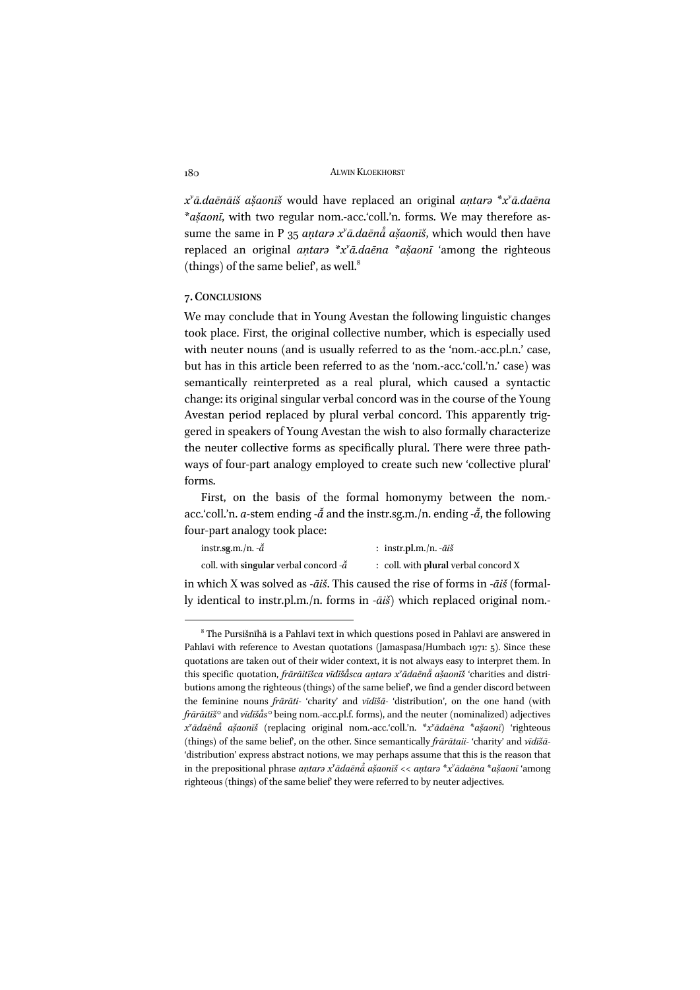$x^{\prime}$ *ā.daēnāiš ašaonīš* would have replaced an original *antara* \**x*<sup>*x*</sup>*ā.daēna* \**ašaonī*, with two regular nom.-acc.'coll.'n. forms. We may therefore assume the same in P 35 *aṇtarə xv ā.daēnā ̊asaon ̣̌ īš*, which would then have replaced an original *aṇtarə* \**xv ā.daēna* \**asaon ̣̌ ī* 'among the righteous (things) of the same belief, as well. $^8$ 

### **7. CONCLUSIONS**

We may conclude that in Young Avestan the following linguistic changes took place. First, the original collective number, which is especially used with neuter nouns (and is usually referred to as the 'nom.-acc.pl.n.' case, but has in this article been referred to as the 'nom.-acc.'coll.'n.' case) was semantically reinterpreted as a real plural, which caused a syntactic change: its original singular verbal concord was in the course of the Young Avestan period replaced by plural verbal concord. This apparently triggered in speakers of Young Avestan the wish to also formally characterize the neuter collective forms as specifically plural. There were three pathways of four-part analogy employed to create such new 'collective plural' forms.

First, on the basis of the formal homonymy between the nom. acc.'coll.'n. *a*-stem ending - $\check{a}$  and the instr.sg.m./n. ending - $\check{a}$ , the following four-part analogy took place:

| instr.sg.m./n. $-\tilde{a}$                     | : instr.pl.m./n. $-\bar{a}i\dot{s}$  |
|-------------------------------------------------|--------------------------------------|
| coll. with singular verbal concord $-\tilde{a}$ | : coll. with plural verbal concord X |

in which X was solved as *-āiš*. This caused the rise of forms in *-āiš* (formally identical to instr.pl.m./n. forms in *-āiš*) which replaced original nom.-

<sup>8</sup> The Pursišnīhā is a Pahlavi text in which questions posed in Pahlavi are answered in Pahlavi with reference to Avestan quotations (Jamaspasa/Humbach 1971: 5). Since these quotations are taken out of their wider context, it is not always easy to interpret them. In this specific quotation, *frārāitīšca vīdīšåsca antarə x<sup>y</sup>ādaēnå ašaonīš* 'charities and distri-*̊* butions among the righteous (things) of the same belief', we find a gender discord between the feminine nouns *frārāti-* 'charity' and *vīdīšā-* 'distribution', on the one hand (with *frārāitīš°* and *vīdīšā s°* being nom.-acc.pl.f. forms), and the neuter (nominalized) adjectives *̊ xv ādaēnā ̊ asaon ̣̌ īš* (replacing original nom.-acc.'coll.'n. \**xv ādaēna* \**asaon ̣̌ ī*) 'righteous (things) of the same belief', on the other. Since semantically *frārātaii-* 'charity' and *vīdīšā-* 'distribution' express abstract notions, we may perhaps assume that this is the reason that in the prepositional phrase *antarə x<sup>v</sup>ādaēnå ašaonīš << antarə \*x<sup>v</sup>ādaēna \*ašaonī 'among* righteous (things) of the same belief' they were referred to by neuter adjectives.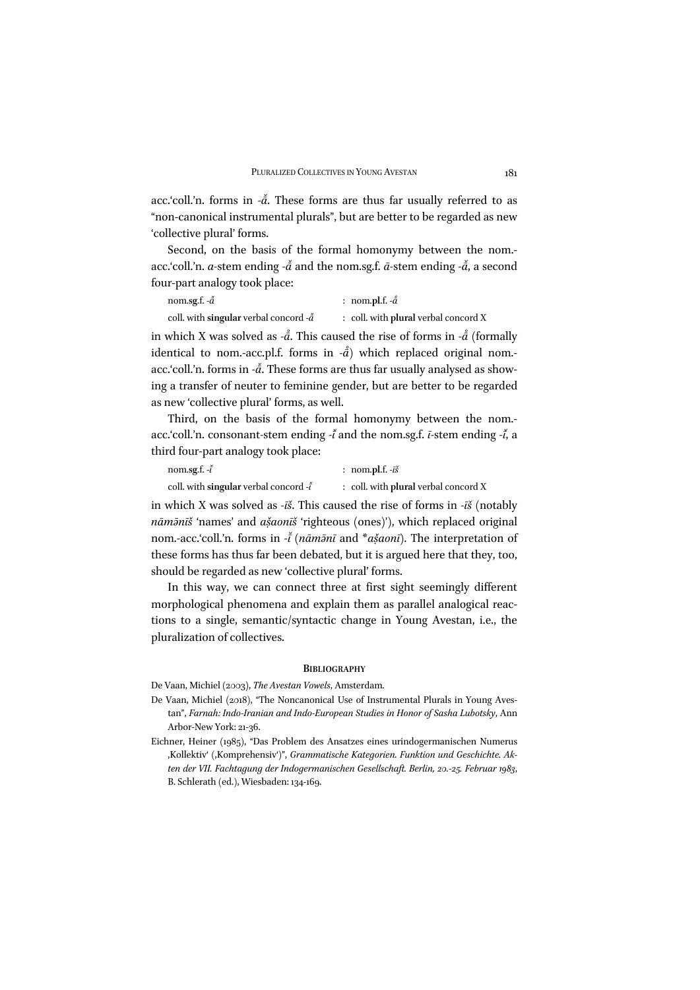acc.'coll.'n. forms in - $\tilde{a}$ . These forms are thus far usually referred to as "non-canonical instrumental plurals", but are better to be regarded as new 'collective plural' forms.

Second, on the basis of the formal homonymy between the nom. acc.'coll.'n. *a*-stem ending - $\tilde{a}$  and the nom.sg.f.  $\tilde{a}$ -stem ending - $\tilde{a}$ , a second four-part analogy took place:

| nom.sg.f. $-\tilde{a}$                           | : nom.pl.f. $-\mathring{a}$            |
|--------------------------------------------------|----------------------------------------|
| coll. with singular verbal concord - $\tilde{a}$ | $:$ coll. with plural verbal concord X |

in which X was solved as *-å*. This caused the rise of forms in *-å* (formally *̊* identical to nom.-acc.pl.f. forms in *-*a<sup>̃</sup>) which replaced original nom.-*̊* acc.'coll.'n. forms in - $\tilde{a}$ . These forms are thus far usually analysed as showing a transfer of neuter to feminine gender, but are better to be regarded as new 'collective plural' forms, as well.

Third, on the basis of the formal homonymy between the nom. acc.'coll.'n. consonant*-*stem ending *-ī ̆*and the nom.sg.f. *ī-*stem ending *-ī ̆*, a third four-part analogy took place:

| nom.sg.f. - <i>ĭ</i>                                 | : nom.pl.f. $-\bar{i}\check{s}$      |
|------------------------------------------------------|--------------------------------------|
| coll. with singular verbal concord $\cdot \tilde{t}$ | : coll. with plural verbal concord X |

in which X was solved as *-īš*. This caused the rise of forms in *-īš* (notably *nām* $\bar{a}$ *n*<sup> $\bar{a}$ </sub> 'names' and *ašaon* $\bar{a}$ <sup>*s*</sup> 'righteous (ones)'), which replaced original</sup> nom.-acc.'coll.'n. forms in *-ī ̆*(*nāmə̄nī* and \**asaon ̣̌ ī*). The interpretation of these forms has thus far been debated, but it is argued here that they, too, should be regarded as new 'collective plural' forms.

In this way, we can connect three at first sight seemingly different morphological phenomena and explain them as parallel analogical reactions to a single, semantic/syntactic change in Young Avestan, i.e., the pluralization of collectives.

#### **BIBLIOGRAPHY**

De Vaan, Michiel (2003), *The Avestan Vowels*, Amsterdam.

- De Vaan, Michiel (2018), "The Noncanonical Use of Instrumental Plurals in Young Avestan", *Farnah: Indo-Iranian and Indo-European Studies in Honor of Sasha Lubotsky*, Ann Arbor-New York: 21-36.
- Eichner, Heiner (1985), "Das Problem des Ansatzes eines urindogermanischen Numerus ,Kollektiv' (,Komprehensiv')", *Grammatische Kategorien. Funktion und Geschichte. Akten der VII. Fachtagung der Indogermanischen Gesellschaft. Berlin, 20.-25. Februar 1983*, B. Schlerath (ed.), Wiesbaden: 134-169.